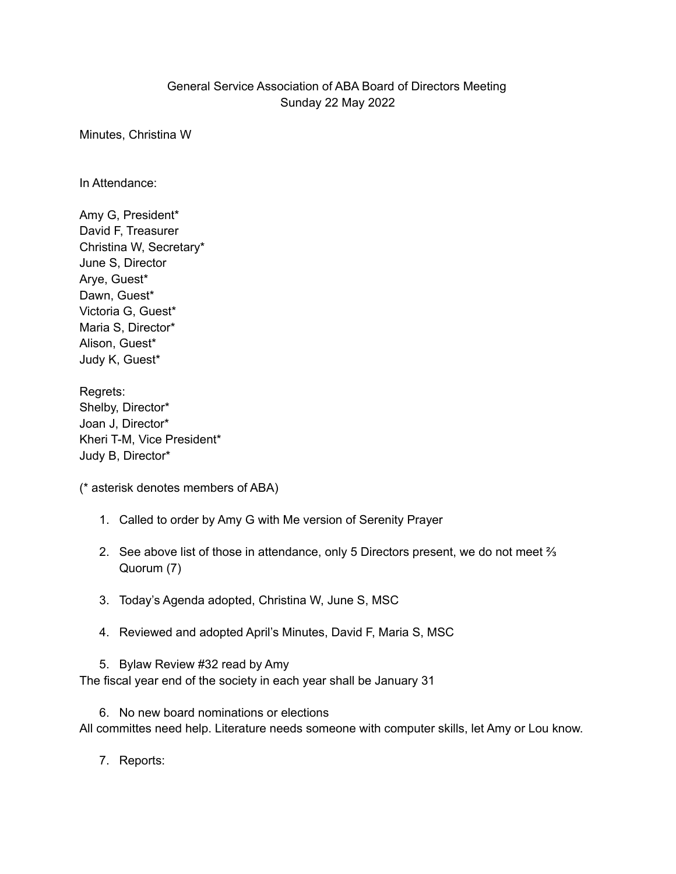## General Service Association of ABA Board of Directors Meeting Sunday 22 May 2022

Minutes, Christina W

In Attendance:

Amy G, President\* David F, Treasurer Christina W, Secretary\* June S, Director Arye, Guest\* Dawn, Guest\* Victoria G, Guest\* Maria S, Director\* Alison, Guest\* Judy K, Guest\*

Regrets: Shelby, Director\* Joan J, Director\* Kheri T-M, Vice President\* Judy B, Director\*

(\* asterisk denotes members of ABA)

- 1. Called to order by Amy G with Me version of Serenity Prayer
- 2. See above list of those in attendance, only 5 Directors present, we do not meet  $\frac{2}{3}$ Quorum (7)
- 3. Today's Agenda adopted, Christina W, June S, MSC
- 4. Reviewed and adopted April's Minutes, David F, Maria S, MSC

5. Bylaw Review #32 read by Amy The fiscal year end of the society in each year shall be January 31

6. No new board nominations or elections All committes need help. Literature needs someone with computer skills, let Amy or Lou know.

7. Reports: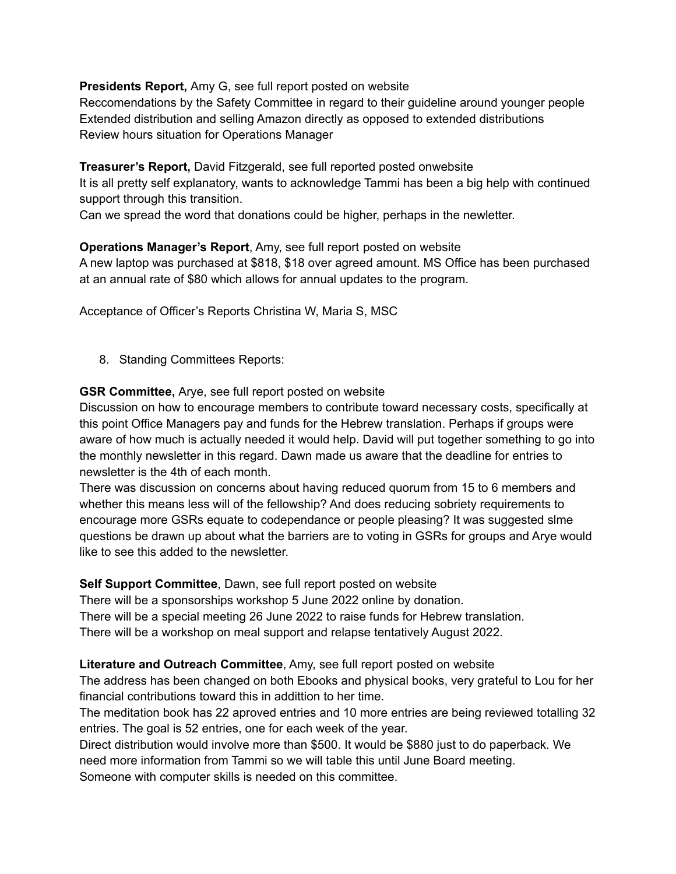**Presidents Report,** Amy G, see full report posted on website

Reccomendations by the Safety Committee in regard to their guideline around younger people Extended distribution and selling Amazon directly as opposed to extended distributions Review hours situation for Operations Manager

**Treasurer's Report,** David Fitzgerald, see full reported posted onwebsite

It is all pretty self explanatory, wants to acknowledge Tammi has been a big help with continued support through this transition.

Can we spread the word that donations could be higher, perhaps in the newletter.

**Operations Manager's Report**, Amy, see full report posted on website A new laptop was purchased at \$818, \$18 over agreed amount. MS Office has been purchased at an annual rate of \$80 which allows for annual updates to the program.

Acceptance of Officer's Reports Christina W, Maria S, MSC

8. Standing Committees Reports:

**GSR Committee,** Arye, see full report posted on website

Discussion on how to encourage members to contribute toward necessary costs, specifically at this point Office Managers pay and funds for the Hebrew translation. Perhaps if groups were aware of how much is actually needed it would help. David will put together something to go into the monthly newsletter in this regard. Dawn made us aware that the deadline for entries to newsletter is the 4th of each month.

There was discussion on concerns about having reduced quorum from 15 to 6 members and whether this means less will of the fellowship? And does reducing sobriety requirements to encourage more GSRs equate to codependance or people pleasing? It was suggested slme questions be drawn up about what the barriers are to voting in GSRs for groups and Arye would like to see this added to the newsletter.

**Self Support Committee**, Dawn, see full report posted on website

There will be a sponsorships workshop 5 June 2022 online by donation.

There will be a special meeting 26 June 2022 to raise funds for Hebrew translation.

There will be a workshop on meal support and relapse tentatively August 2022.

**Literature and Outreach Committee**, Amy, see full report posted on website

The address has been changed on both Ebooks and physical books, very grateful to Lou for her financial contributions toward this in addittion to her time.

The meditation book has 22 aproved entries and 10 more entries are being reviewed totalling 32 entries. The goal is 52 entries, one for each week of the year.

Direct distribution would involve more than \$500. It would be \$880 just to do paperback. We need more information from Tammi so we will table this until June Board meeting.

Someone with computer skills is needed on this committee.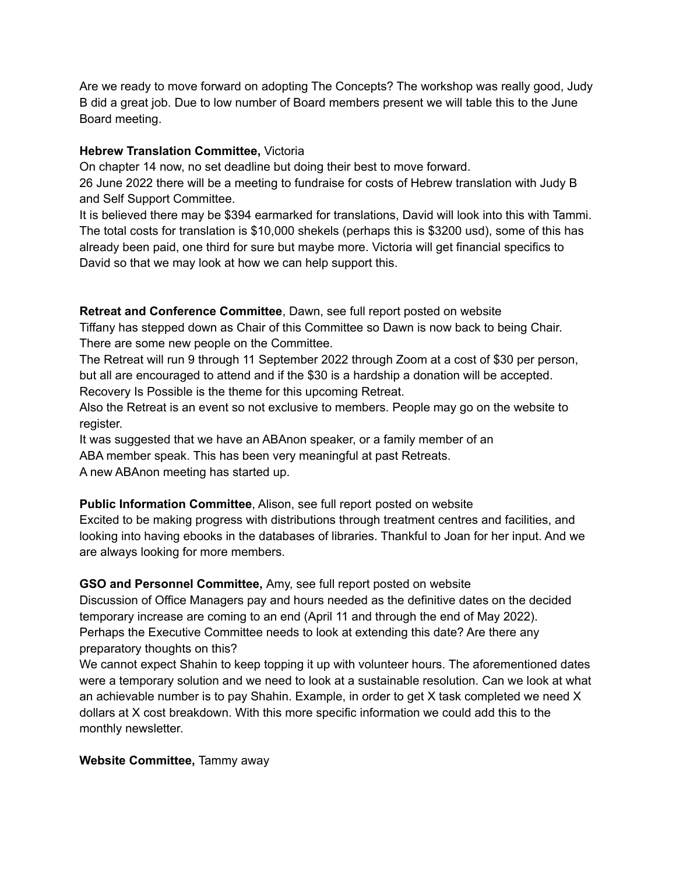Are we ready to move forward on adopting The Concepts? The workshop was really good, Judy B did a great job. Due to low number of Board members present we will table this to the June Board meeting.

## **Hebrew Translation Committee,** Victoria

On chapter 14 now, no set deadline but doing their best to move forward.

26 June 2022 there will be a meeting to fundraise for costs of Hebrew translation with Judy B and Self Support Committee.

It is believed there may be \$394 earmarked for translations, David will look into this with Tammi. The total costs for translation is \$10,000 shekels (perhaps this is \$3200 usd), some of this has already been paid, one third for sure but maybe more. Victoria will get financial specifics to David so that we may look at how we can help support this.

### **Retreat and Conference Committee**, Dawn, see full report posted on website

Tiffany has stepped down as Chair of this Committee so Dawn is now back to being Chair. There are some new people on the Committee.

The Retreat will run 9 through 11 September 2022 through Zoom at a cost of \$30 per person, but all are encouraged to attend and if the \$30 is a hardship a donation will be accepted. Recovery Is Possible is the theme for this upcoming Retreat.

Also the Retreat is an event so not exclusive to members. People may go on the website to register.

It was suggested that we have an ABAnon speaker, or a family member of an ABA member speak. This has been very meaningful at past Retreats.

A new ABAnon meeting has started up.

**Public Information Committee**, Alison, see full report posted on website Excited to be making progress with distributions through treatment centres and facilities, and looking into having ebooks in the databases of libraries. Thankful to Joan for her input. And we are always looking for more members.

## **GSO and Personnel Committee,** Amy, see full report posted on website

Discussion of Office Managers pay and hours needed as the definitive dates on the decided temporary increase are coming to an end (April 11 and through the end of May 2022). Perhaps the Executive Committee needs to look at extending this date? Are there any preparatory thoughts on this?

We cannot expect Shahin to keep topping it up with volunteer hours. The aforementioned dates were a temporary solution and we need to look at a sustainable resolution. Can we look at what an achievable number is to pay Shahin. Example, in order to get X task completed we need X dollars at X cost breakdown. With this more specific information we could add this to the monthly newsletter.

**Website Committee,** Tammy away